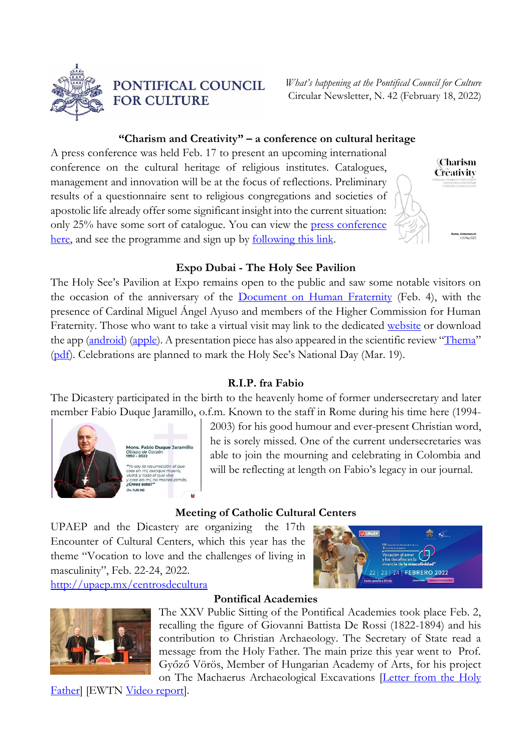

PONTIFICAL COUNCIL **FOR CULTURE** 

*What's happening at the Pontifical Council for Culture* Circular Newsletter, N. 42 (February 18, 2022)

## **"Charism and Creativity" – a conference on cultural heritage**

A press conference was held Feb. 17 to present an upcoming international conference on the cultural heritage of religious institutes. Catalogues, management and innovation will be at the focus of reflections. Preliminary results of a questionnaire sent to religious congregations and societies of apostolic life already offer some significant insight into the current situation: only 25% have some sort of catalogue. You can view the [press conference](https://youtu.be/Gdtda7zTF4g)  [here,](https://youtu.be/Gdtda7zTF4g) and see the programme and sign up by **[following](http://www.cultura.va/content/cultura/en/eventi/major/carismaecreativita.html) this link**.



### **Expo Dubai - The Holy See Pavilion**

The Holy See's Pavilion at Expo remains open to the public and saw some notable visitors on the occasion of the anniversary of the **[Document on Human Fraternity](https://www.vatican.va/content/francesco/en/travels/2019/outside/documents/papa-francesco_20190204_documento-fratellanza-umana.html)** (Feb. 4), with the presence of Cardinal Miguel Ángel Ayuso and members of the Higher Commission for Human Fraternity. Those who want to take a virtual visit may link to the dedicated [website](https://vaticanexpo.com/) or download the app [\(android\)](https://play.google.com/store/apps/details?id=com.holyseepavilion) [\(apple\)](https://apps.apple.com/us/app/holy-see-pavilion/id1588638691). A presentation piece has also appeared in the scientific review "[Thema](https://www.themaprogetto.it/)" [\(pdf\)](http://www.cultura.va/content/dam/cultura/docs/pdf/events/Thema-11_21-vaticanpavillon.pdf). Celebrations are planned to mark the Holy See's National Day (Mar. 19).

### **R.I.P. fra Fabio**

The Dicastery participated in the birth to the heavenly home of former undersecretary and later member Fabio Duque Jaramillo, o.f.m. Known to the staff in Rome during his time here (1994-



2003) for his good humour and ever-present Christian word, he is sorely missed. One of the current undersecretaries was able to join the mourning and celebrating in Colombia and will be reflecting at length on Fabio's legacy in our journal.

#### **Meeting of Catholic Cultural Centers**

UPAEP and the Dicastery are organizing the 17th Encounter of Cultural Centers, which this year has the theme "Vocation to love and the challenges of living in masculinity", Feb. 22-24, 2022. [http://upaep.mx/centrosdecultura](http://upaep.mx/centrosdecultura?fbclid=IwAR3Ps5SkySAut8InMBnpxMN9rf56Z8i_XhV9nvNPdtxYigG6Rf_cr_-UrSI)





#### **Pontifical Academies**

The XXV Public Sitting of the Pontifical Academies took place Feb. 2, recalling the figure of Giovanni Battista De Rossi (1822-1894) and his contribution to Christian Archaeology. The Secretary of State read a message from the Holy Father. The main prize this year went to Prof. Győző Vörös, Member of Hungarian Academy of Arts, for his project on The Machaerus Archaeological Excavations **Letter from the Holy** 

[Father\]](https://www.vatican.va/content/francesco/it/letters/2022/documents/20220201-cardinale-ravasi.html) [EWTN [Video report\]](https://www.youtube.com/watch?v=lL-giuWdlbc).